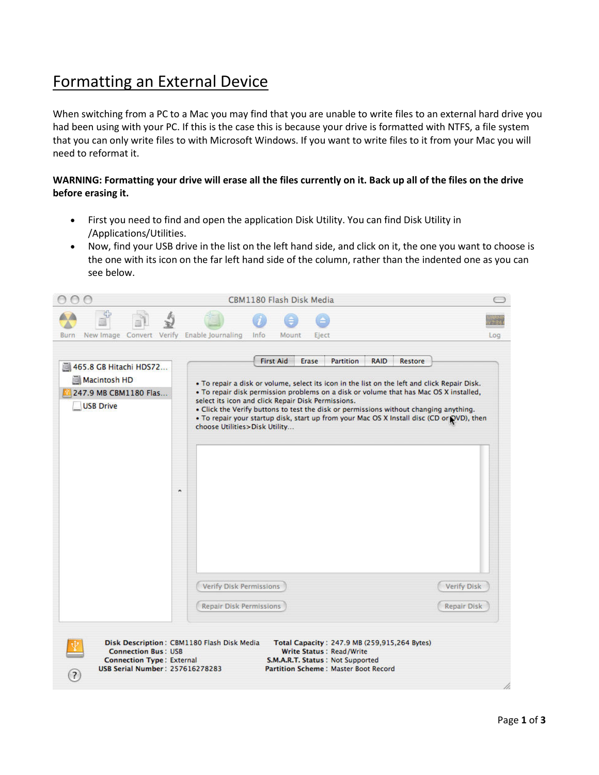## Formatting an External Device

When switching from a PC to a Mac you may find that you are unable to write files to an external hard drive you had been using with your PC. If this is the case this is because your drive is formatted with NTFS, a file system that you can only write files to with Microsoft Windows. If you want to write files to it from your Mac you will need to reformat it.

## **WARNING: Formatting your drive will erase all the files currently on it. Back up all of the files on the drive before erasing it.**

- First you need to find and open the application Disk Utility. You can find Disk Utility in /Applications/Utilities.
- Now, find your USB drive in the list on the left hand side, and click on it, the one you want to choose is the one with its icon on the far left hand side of the column, rather than the indented one as you can see below.

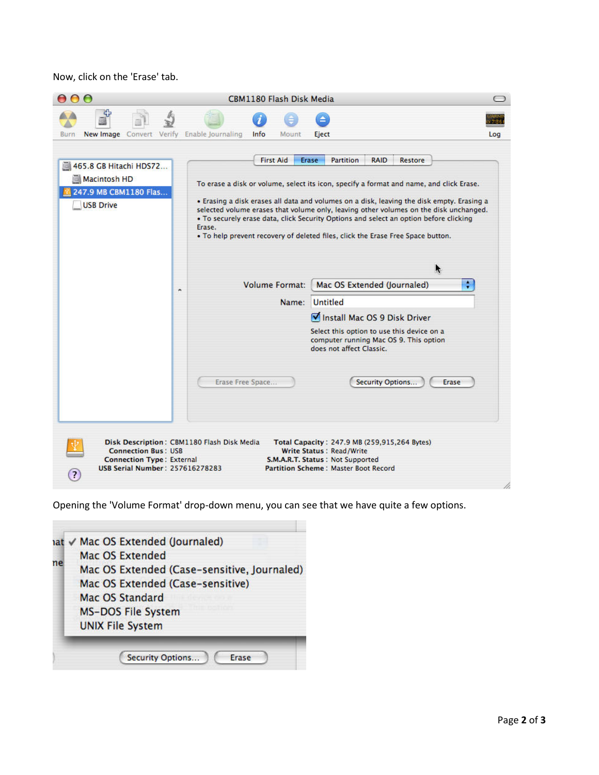Now, click on the 'Erase' tab.

|                                                                                                                            | <b>CBM1180 Flash Disk Media</b>                                                                                                                                                                                                                                                                                                                                                                                                                                                                                                                                                                                                                                                                                                                                                                                                                                    |     |
|----------------------------------------------------------------------------------------------------------------------------|--------------------------------------------------------------------------------------------------------------------------------------------------------------------------------------------------------------------------------------------------------------------------------------------------------------------------------------------------------------------------------------------------------------------------------------------------------------------------------------------------------------------------------------------------------------------------------------------------------------------------------------------------------------------------------------------------------------------------------------------------------------------------------------------------------------------------------------------------------------------|-----|
| New Image Convert Verify Enable Journaling<br><b>Burn</b>                                                                  | Info<br>Mount<br>Eject                                                                                                                                                                                                                                                                                                                                                                                                                                                                                                                                                                                                                                                                                                                                                                                                                                             | Log |
| 465.8 GB Hitachi HDS72<br>Macintosh HD<br>247.9 MB CBM1180 Flas<br><b>USB Drive</b>                                        | <b>First Aid</b><br><b>RAID</b><br><b>Erase</b><br>Partition<br><b>Restore</b><br>To erase a disk or volume, select its icon, specify a format and name, and click Erase.<br>. Erasing a disk erases all data and volumes on a disk, leaving the disk empty. Erasing a<br>selected volume erases that volume only, leaving other volumes on the disk unchanged.<br>. To securely erase data, click Security Options and select an option before clicking<br>Erase.<br>. To help prevent recovery of deleted files, click the Erase Free Space button.<br>÷<br><b>Volume Format:</b><br>Mac OS Extended (Journaled)<br>$\blacksquare$<br>Name: Untitled<br>Install Mac OS 9 Disk Driver<br>Select this option to use this device on a<br>computer running Mac OS 9. This option<br>does not affect Classic.<br>Erase Free Space<br>Security Options<br><b>Erase</b> |     |
| <b>Connection Bus: USB</b><br><b>Connection Type: External</b><br><b>USB Serial Number: 257616278283</b><br>$\overline{a}$ | Disk Description: CBM1180 Flash Disk Media<br>Total Capacity: 247.9 MB (259,915,264 Bytes)<br><b>Write Status: Read/Write</b><br>S.M.A.R.T. Status: Not Supported<br><b>Partition Scheme: Master Boot Record</b>                                                                                                                                                                                                                                                                                                                                                                                                                                                                                                                                                                                                                                                   |     |

Opening the 'Volume Format' drop-down menu, you can see that we have quite a few options.

|    | <b>MS-DOS File System</b><br><b>UNIX File System</b> |
|----|------------------------------------------------------|
|    | Mac OS Extended (Case-sensitive)<br>Mac OS Standard  |
| ne | Mac OS Extended (Case-sensitive, Journaled)          |
|    | nat √ Mac OS Extended (Journaled)<br>Mac OS Extended |